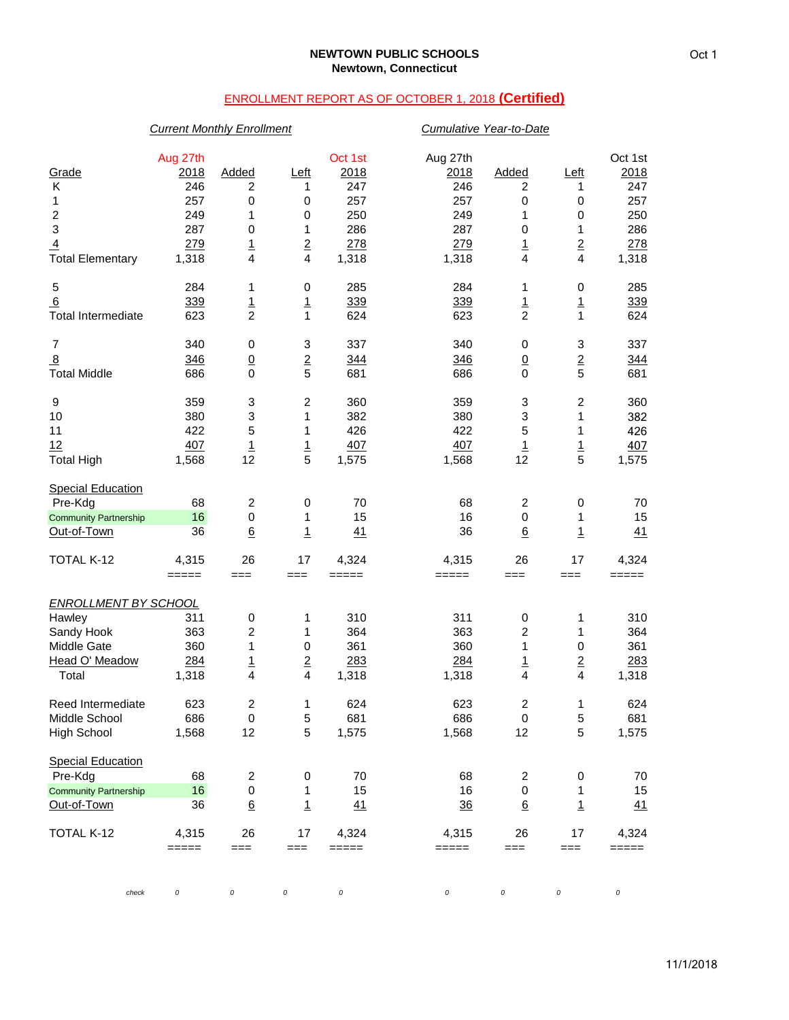# ENROLLMENT REPORT AS OF OCTOBER 1, 2018 **(Certified)**

## *Current Monthly Enrollment Cumulative Year-to-Date*

| Grade<br>Κ<br>1<br>$\boldsymbol{2}$<br>$\mathbf 3$<br>$\overline{4}$<br><b>Total Elementary</b> | Aug 27th<br>2018<br>246<br>257<br>249<br>287<br>279<br>1,318 | Added<br>2<br>0<br>1<br>0<br>$\overline{1}$<br>$\overline{\mathbf{4}}$ | <u>Left</u><br>1<br>0<br>0<br>1<br>$\overline{2}$<br>$\overline{4}$ | Oct 1st<br>2018<br>247<br>257<br>250<br>286<br>278<br>1,318 | Aug 27th<br>2018<br>246<br>257<br>249<br>287<br>279<br>1,318 | Added<br>2<br>0<br>1<br>0<br>$\overline{1}$<br>$\overline{4}$ | <u>Left</u><br>1<br>0<br>0<br>1<br>$\overline{2}$<br>$\overline{\mathbf{4}}$ | Oct 1st<br>2018<br>247<br>257<br>250<br>286<br>278<br>1,318 |
|-------------------------------------------------------------------------------------------------|--------------------------------------------------------------|------------------------------------------------------------------------|---------------------------------------------------------------------|-------------------------------------------------------------|--------------------------------------------------------------|---------------------------------------------------------------|------------------------------------------------------------------------------|-------------------------------------------------------------|
| 5<br>6                                                                                          | 284<br>339                                                   | 1<br>$\frac{1}{2}$                                                     | 0<br>$\overline{1}$                                                 | 285<br>339                                                  | 284<br>339                                                   | 1<br>$\overline{1}$                                           | 0<br>$\overline{1}$                                                          | 285<br>339                                                  |
| <b>Total Intermediate</b>                                                                       | 623                                                          |                                                                        | $\mathbf{1}$                                                        | 624                                                         | 623                                                          | $\overline{2}$                                                | $\mathbf{1}$                                                                 | 624                                                         |
| 7<br>$\overline{8}$<br><b>Total Middle</b>                                                      | 340<br>346<br>686                                            | 0<br>$\underline{0}$<br>$\mathbf 0$                                    | 3<br>$rac{2}{5}$                                                    | 337<br>344<br>681                                           | 340<br>346<br>686                                            | 0<br>$\underline{0}$<br>0                                     | 3<br>$\frac{2}{5}$                                                           | 337<br>344<br>681                                           |
| 9                                                                                               | 359                                                          | 3                                                                      | $\overline{c}$                                                      | 360                                                         | 359                                                          | 3                                                             | $\overline{c}$                                                               | 360                                                         |
| 10                                                                                              | 380                                                          | 3                                                                      | 1                                                                   | 382                                                         | 380                                                          | 3                                                             | 1                                                                            | 382                                                         |
| 11                                                                                              | 422                                                          | 5                                                                      | 1                                                                   | 426                                                         | 422                                                          | 5                                                             | 1                                                                            | 426                                                         |
| 12                                                                                              | 407                                                          | $\overline{1}$                                                         | $\overline{1}$                                                      | 407                                                         | 407                                                          | $\overline{1}$                                                | $\overline{1}$                                                               | 407                                                         |
| <b>Total High</b>                                                                               | 1,568                                                        | 12                                                                     | 5                                                                   | 1,575                                                       | 1,568                                                        | 12                                                            | 5                                                                            | 1,575                                                       |
| <b>Special Education</b>                                                                        |                                                              |                                                                        |                                                                     |                                                             |                                                              |                                                               |                                                                              |                                                             |
| Pre-Kdg                                                                                         | 68                                                           | $\overline{\mathbf{c}}$                                                | 0                                                                   | 70                                                          | 68                                                           | $\overline{c}$                                                | 0                                                                            | 70                                                          |
| <b>Community Partnership</b>                                                                    | 16                                                           | 0                                                                      | 1                                                                   | 15                                                          | 16                                                           | 0                                                             | 1                                                                            | 15                                                          |
| Out-of-Town                                                                                     | 36                                                           | $\underline{6}$                                                        | $\overline{1}$                                                      | 41                                                          | 36                                                           | $\underline{6}$                                               | $\overline{1}$                                                               | 41                                                          |
| TOTAL K-12                                                                                      | 4,315<br>$=====$                                             | 26<br>$==$                                                             | 17<br>$==$                                                          | 4,324<br>$=====$                                            | 4,315<br>=====                                               | 26<br>$==$                                                    | 17<br>===                                                                    | 4,324<br>=====                                              |
| <b>ENROLLMENT BY SCHOOL</b>                                                                     |                                                              |                                                                        |                                                                     |                                                             |                                                              |                                                               |                                                                              |                                                             |
| Hawley                                                                                          | 311                                                          | 0                                                                      | 1                                                                   | 310                                                         | 311                                                          | 0                                                             | 1                                                                            | 310                                                         |
| Sandy Hook                                                                                      | 363                                                          | $\overline{c}$                                                         | 1                                                                   | 364                                                         | 363                                                          | 2                                                             | 1                                                                            | 364                                                         |
| Middle Gate                                                                                     | 360                                                          | 1                                                                      | $\pmb{0}$                                                           | 361                                                         | 360                                                          | 1                                                             | $\pmb{0}$                                                                    | 361                                                         |
| Head O' Meadow                                                                                  | 284                                                          | $\overline{1}$                                                         | $\overline{2}$                                                      | 283                                                         | 284                                                          | $\overline{1}$                                                | $\overline{2}$                                                               | 283                                                         |
| Total                                                                                           | 1,318                                                        | $\overline{\mathbf{4}}$                                                | 4                                                                   | 1,318                                                       | 1,318                                                        | 4                                                             | 4                                                                            | 1,318                                                       |
| Reed Intermediate                                                                               | 623                                                          | $\overline{c}$                                                         | 1                                                                   | 624                                                         | 623                                                          | 2                                                             | 1                                                                            | 624                                                         |
| Middle School                                                                                   | 686                                                          | 0                                                                      | 5                                                                   | 681                                                         | 686                                                          | 0                                                             | 5                                                                            | 681                                                         |
| <b>High School</b>                                                                              | 1,568                                                        | 12                                                                     | 5                                                                   | 1,575                                                       | 1,568                                                        | 12                                                            | 5                                                                            | 1,575                                                       |
| <b>Special Education</b>                                                                        |                                                              |                                                                        |                                                                     |                                                             |                                                              |                                                               |                                                                              |                                                             |
| Pre-Kdg                                                                                         | 68                                                           | $\overline{\mathbf{c}}$                                                | 0                                                                   | 70                                                          | 68                                                           | $\overline{\mathbf{c}}$                                       | $\pmb{0}$                                                                    | 70                                                          |
| <b>Community Partnership</b>                                                                    | 16                                                           | 0                                                                      | 1                                                                   | 15                                                          | 16                                                           | 0                                                             | 1                                                                            | 15                                                          |
| Out-of-Town                                                                                     | 36                                                           | $\underline{6}$                                                        | $\overline{1}$                                                      | 41                                                          | $\frac{36}{5}$                                               | $\underline{6}$                                               | $\overline{1}$                                                               | 41                                                          |
| TOTAL K-12                                                                                      | 4,315<br>$=====$                                             | 26<br>$==$                                                             | 17<br>===                                                           | 4,324<br>$=====$                                            | 4,315<br>=====                                               | 26<br>$==$                                                    | 17<br>===                                                                    | 4,324<br>=====                                              |
| check                                                                                           | 0                                                            | 0                                                                      | 0                                                                   | 0                                                           | 0                                                            | 0                                                             | 0                                                                            | 0                                                           |